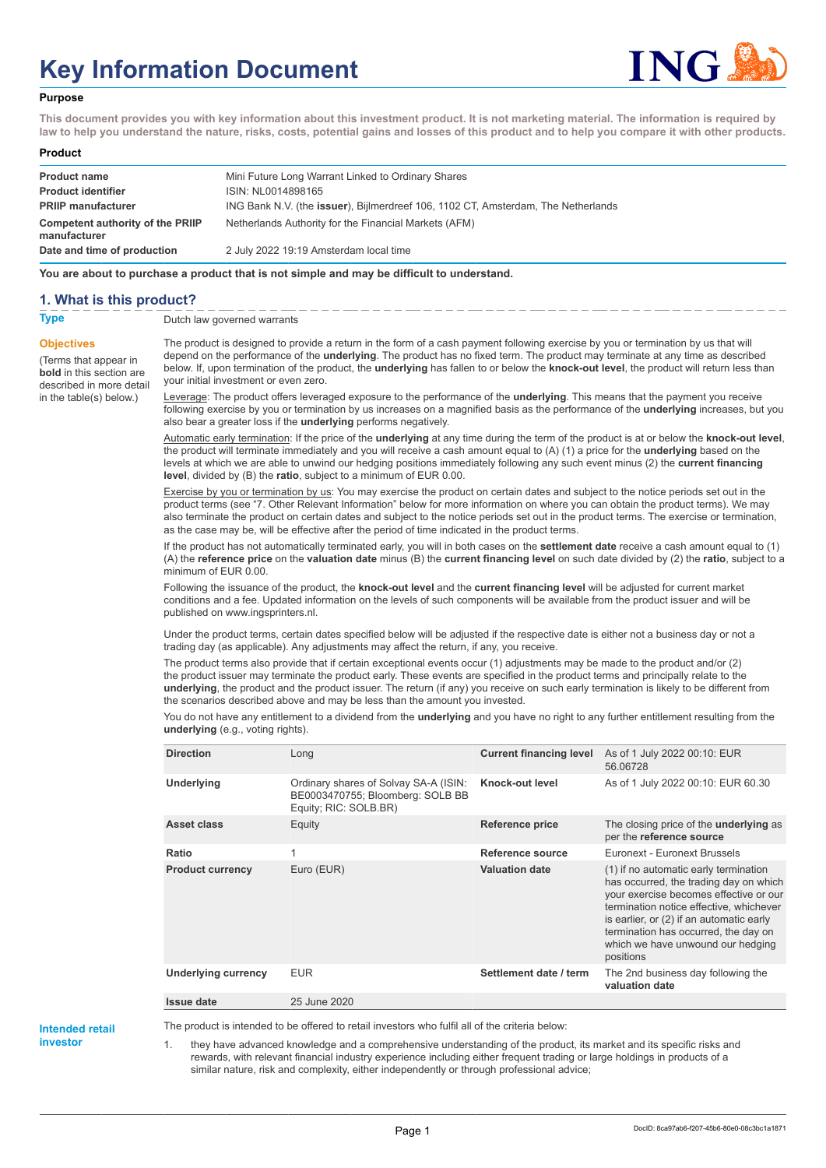# **Key Information Document**



## **Purpose**

**This document provides you with key information about this investment product. It is not marketing material. The information is required by law to help you understand the nature, risks, costs, potential gains and losses of this product and to help you compare it with other products.**

### **Product**

| <b>Product name</b>                              | Mini Future Long Warrant Linked to Ordinary Shares                                        |
|--------------------------------------------------|-------------------------------------------------------------------------------------------|
| <b>Product identifier</b>                        | ISIN: NL0014898165                                                                        |
| <b>PRIIP manufacturer</b>                        | ING Bank N.V. (the <b>issuer</b> ), Bijlmerdreef 106, 1102 CT, Amsterdam, The Netherlands |
| Competent authority of the PRIIP<br>manufacturer | Netherlands Authority for the Financial Markets (AFM)                                     |
| Date and time of production                      | 2 July 2022 19:19 Amsterdam local time                                                    |

**You are about to purchase a product that is not simple and may be difficult to understand.**

## **1. What is this product?**

**Objectives**

(Terms that appear in **bold** in this section are

in the table(s) below.)

**Type** Dutch law governed warrants

described in more detail The product is designed to provide a return in the form of a cash payment following exercise by you or termination by us that will depend on the performance of the **underlying**. The product has no fixed term. The product may terminate at any time as described below. If, upon termination of the product, the **underlying** has fallen to or below the **knock-out level**, the product will return less than your initial investment or even zero.

> Leverage: The product offers leveraged exposure to the performance of the **underlying**. This means that the payment you receive following exercise by you or termination by us increases on a magnified basis as the performance of the **underlying** increases, but you also bear a greater loss if the **underlying** performs negatively.

> Automatic early termination: If the price of the **underlying** at any time during the term of the product is at or below the **knock-out level**, the product will terminate immediately and you will receive a cash amount equal to (A) (1) a price for the **underlying** based on the levels at which we are able to unwind our hedging positions immediately following any such event minus (2) the **current financing level**, divided by (B) the **ratio**, subject to a minimum of EUR 0.00.

Exercise by you or termination by us: You may exercise the product on certain dates and subject to the notice periods set out in the product terms (see "7. Other Relevant Information" below for more information on where you can obtain the product terms). We may also terminate the product on certain dates and subject to the notice periods set out in the product terms. The exercise or termination, as the case may be, will be effective after the period of time indicated in the product terms.

If the product has not automatically terminated early, you will in both cases on the **settlement date** receive a cash amount equal to (1) (A) the **reference price** on the **valuation date** minus (B) the **current financing level** on such date divided by (2) the **ratio**, subject to a minimum of EUR 0.00.

Following the issuance of the product, the **knock-out level** and the **current financing level** will be adjusted for current market conditions and a fee. Updated information on the levels of such components will be available from the product issuer and will be published on www.ingsprinters.nl.

Under the product terms, certain dates specified below will be adjusted if the respective date is either not a business day or not a trading day (as applicable). Any adjustments may affect the return, if any, you receive.

The product terms also provide that if certain exceptional events occur (1) adjustments may be made to the product and/or (2) the product issuer may terminate the product early. These events are specified in the product terms and principally relate to the **underlying**, the product and the product issuer. The return (if any) you receive on such early termination is likely to be different from the scenarios described above and may be less than the amount you invested.

You do not have any entitlement to a dividend from the **underlying** and you have no right to any further entitlement resulting from the **underlying** (e.g., voting rights).

| <b>Direction</b>           | Long                                                                                               | <b>Current financing level</b> | As of 1 July 2022 00:10: EUR<br>56.06728                                                                                                                                                                                                                                                                   |
|----------------------------|----------------------------------------------------------------------------------------------------|--------------------------------|------------------------------------------------------------------------------------------------------------------------------------------------------------------------------------------------------------------------------------------------------------------------------------------------------------|
| Underlying                 | Ordinary shares of Solvay SA-A (ISIN:<br>BE0003470755; Bloomberg: SOLB BB<br>Equity; RIC: SOLB.BR) | Knock-out level                | As of 1 July 2022 00:10: EUR 60.30                                                                                                                                                                                                                                                                         |
| Asset class                | Equity                                                                                             | <b>Reference price</b>         | The closing price of the <b>underlying</b> as<br>per the reference source                                                                                                                                                                                                                                  |
| Ratio                      | 1                                                                                                  | Reference source               | Euronext - Euronext Brussels                                                                                                                                                                                                                                                                               |
| <b>Product currency</b>    | Euro (EUR)                                                                                         | <b>Valuation date</b>          | (1) if no automatic early termination<br>has occurred, the trading day on which<br>your exercise becomes effective or our<br>termination notice effective, whichever<br>is earlier, or (2) if an automatic early<br>termination has occurred, the day on<br>which we have unwound our hedging<br>positions |
| <b>Underlying currency</b> | <b>EUR</b>                                                                                         | Settlement date / term         | The 2nd business day following the<br>valuation date                                                                                                                                                                                                                                                       |
| Issue date                 | 25 June 2020                                                                                       |                                |                                                                                                                                                                                                                                                                                                            |

**Intended retail investor**

The product is intended to be offered to retail investors who fulfil all of the criteria below:

1. they have advanced knowledge and a comprehensive understanding of the product, its market and its specific risks and rewards, with relevant financial industry experience including either frequent trading or large holdings in products of a similar nature, risk and complexity, either independently or through professional advice;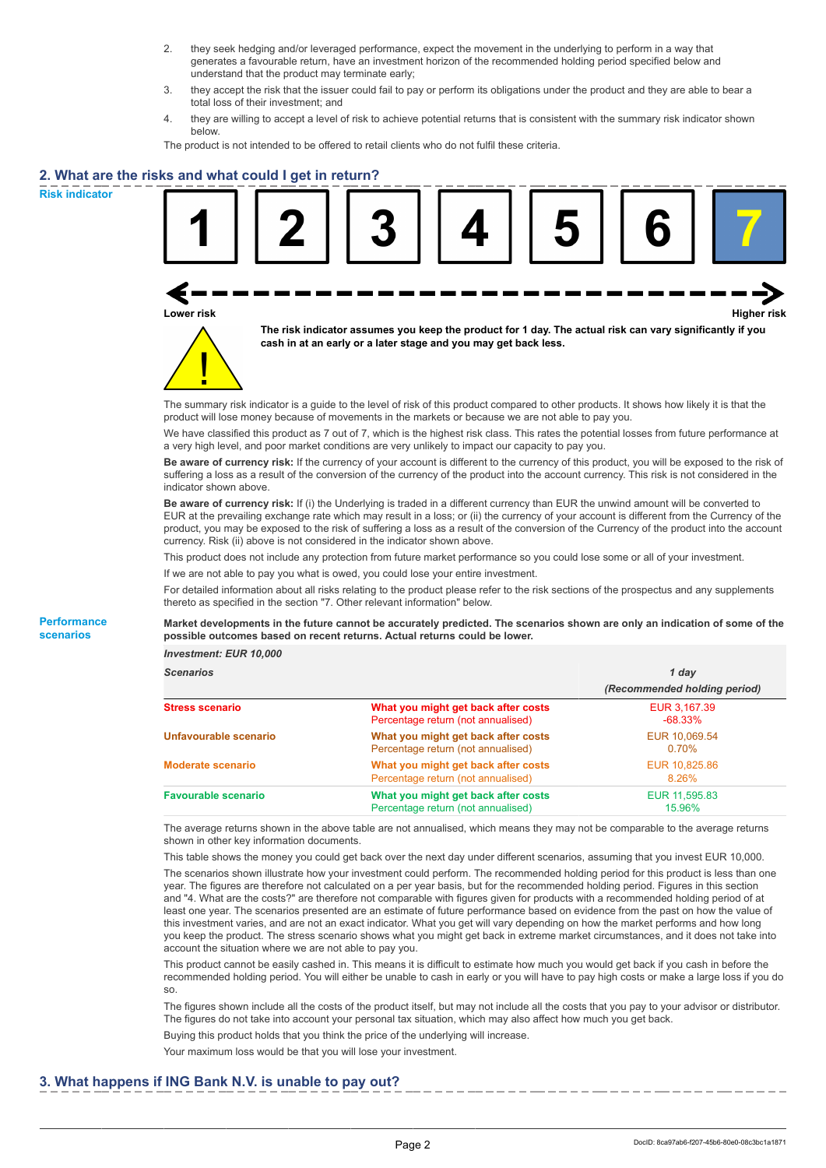- 2. they seek hedging and/or leveraged performance, expect the movement in the underlying to perform in a way that generates a favourable return, have an investment horizon of the recommended holding period specified below and understand that the product may terminate early;
- 3. they accept the risk that the issuer could fail to pay or perform its obligations under the product and they are able to bear a total loss of their investment; and
- 4. they are willing to accept a level of risk to achieve potential returns that is consistent with the summary risk indicator shown below.

The product is not intended to be offered to retail clients who do not fulfil these criteria.

# **2. What are the risks and what could I get in return?**

**Risk indicator**

**Performance scenarios**





**The risk indicator assumes you keep the product for 1 day. The actual risk can vary significantly if you cash in at an early or a later stage and you may get back less.**

The summary risk indicator is a guide to the level of risk of this product compared to other products. It shows how likely it is that the product will lose money because of movements in the markets or because we are not able to pay you.

We have classified this product as 7 out of 7, which is the highest risk class. This rates the potential losses from future performance at a very high level, and poor market conditions are very unlikely to impact our capacity to pay you.

**Be aware of currency risk:** If the currency of your account is different to the currency of this product, you will be exposed to the risk of suffering a loss as a result of the conversion of the currency of the product into the account currency. This risk is not considered in the indicator shown above.

**Be aware of currency risk:** If (i) the Underlying is traded in a different currency than EUR the unwind amount will be converted to EUR at the prevailing exchange rate which may result in a loss; or (ii) the currency of your account is different from the Currency of the product, you may be exposed to the risk of suffering a loss as a result of the conversion of the Currency of the product into the account currency. Risk (ii) above is not considered in the indicator shown above.

This product does not include any protection from future market performance so you could lose some or all of your investment.

If we are not able to pay you what is owed, you could lose your entire investment.

For detailed information about all risks relating to the product please refer to the risk sections of the prospectus and any supplements thereto as specified in the section "7. Other relevant information" below.

### **Market developments in the future cannot be accurately predicted. The scenarios shown are only an indication of some of the possible outcomes based on recent returns. Actual returns could be lower.**

*Investment: EUR 10,000*

| <b>Scenarios</b>           |                                                                           | 1 day                        |
|----------------------------|---------------------------------------------------------------------------|------------------------------|
|                            |                                                                           | (Recommended holding period) |
| <b>Stress scenario</b>     | What you might get back after costs<br>Percentage return (not annualised) | EUR 3,167.39<br>$-68.33\%$   |
| Unfavourable scenario      | What you might get back after costs<br>Percentage return (not annualised) | EUR 10.069.54<br>0.70%       |
| <b>Moderate scenario</b>   | What you might get back after costs<br>Percentage return (not annualised) | EUR 10.825.86<br>8.26%       |
| <b>Favourable scenario</b> | What you might get back after costs<br>Percentage return (not annualised) | EUR 11,595.83<br>15.96%      |

The average returns shown in the above table are not annualised, which means they may not be comparable to the average returns shown in other key information documents.

This table shows the money you could get back over the next day under different scenarios, assuming that you invest EUR 10,000. The scenarios shown illustrate how your investment could perform. The recommended holding period for this product is less than one year. The figures are therefore not calculated on a per year basis, but for the recommended holding period. Figures in this section and "4. What are the costs?" are therefore not comparable with figures given for products with a recommended holding period of at least one year. The scenarios presented are an estimate of future performance based on evidence from the past on how the value of this investment varies, and are not an exact indicator. What you get will vary depending on how the market performs and how long you keep the product. The stress scenario shows what you might get back in extreme market circumstances, and it does not take into account the situation where we are not able to pay you.

This product cannot be easily cashed in. This means it is difficult to estimate how much you would get back if you cash in before the recommended holding period. You will either be unable to cash in early or you will have to pay high costs or make a large loss if you do so.

The figures shown include all the costs of the product itself, but may not include all the costs that you pay to your advisor or distributor. The figures do not take into account your personal tax situation, which may also affect how much you get back.

Buying this product holds that you think the price of the underlying will increase.

Your maximum loss would be that you will lose your investment.

## **3. What happens if ING Bank N.V. is unable to pay out?**